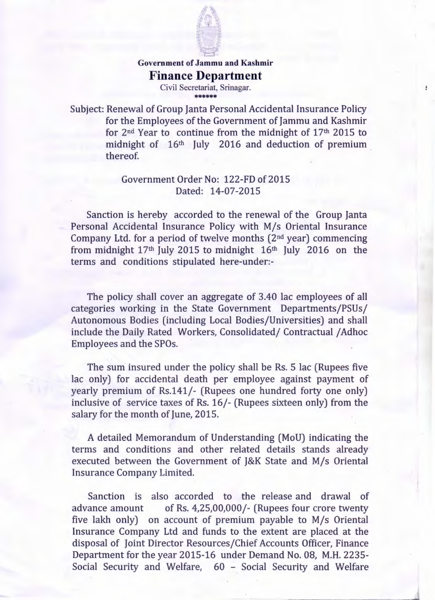

## **dividends**<br>Government of Jammu and Kashm **Finance Department**

Civil Secretariat, Srinagar. \*\*\*\*\*\*

Subject: Renewal of Group Janta Personal Accidental Insurance Policy for the Employees of the Government of Jammu and Kashmir for 2nd Year to continue from the midnight of 17th 2015 to midnight of 16th July 2016 and deduction of premium thereof.

 $\pmb{\theta}$ 

## Government Order No: 122-FD of 2015 Dated: 14-07-2015

Sanction is hereby accorded to the renewal of the Group [anta Personal Accidental Insurance Policy with M/s Oriental Insurance Company Ltd. for a period of twelve months  $(2<sup>nd</sup> year)$  commencing from midnight 17th July 2015 to midnight 16th July 2016 on the terms and conditions stipulated here-under:-

The policy shall cover an aggregate of 3.40 lac employees of all categories working in the State Government Departments/PSUs/ Autonomous Bodies (including Local Bodies/Universities) and shall include the Daily Rated Workers, Consolidated/ Contractual / Adhoc Employees and the SPOs.

The sum insured under the policy shall be Rs. 5 lac (Rupees five lac only) for accidental death per employee against payment of yearly premium of Rs.141/- (Rupees one hundred forty one only) inclusive of service taxes of Rs. 16/- (Rupees sixteen only) from the salary for the month of June, 2015.

A detailed Memorandum of Understanding (MoU) indicating the terms and conditions and other related details stands already executed between the Government of J&K State and M/s Oriental Insurance Company Limited.

Sanction is also accorded to the release and drawal of advance amount of Rs. 4,25,00,000/- (Rupees four crore twenty five lakh only) on account of premium payable to M/s Oriental Insurance Company Ltd and funds to the extent are placed at the disposal of Joint Director Resources/Chief Accounts Officer, Finance Department for the year 2015-16 under Demand No. 08, M.H.2235- Social Security and Welfare, 60 - Social Security and Welfare